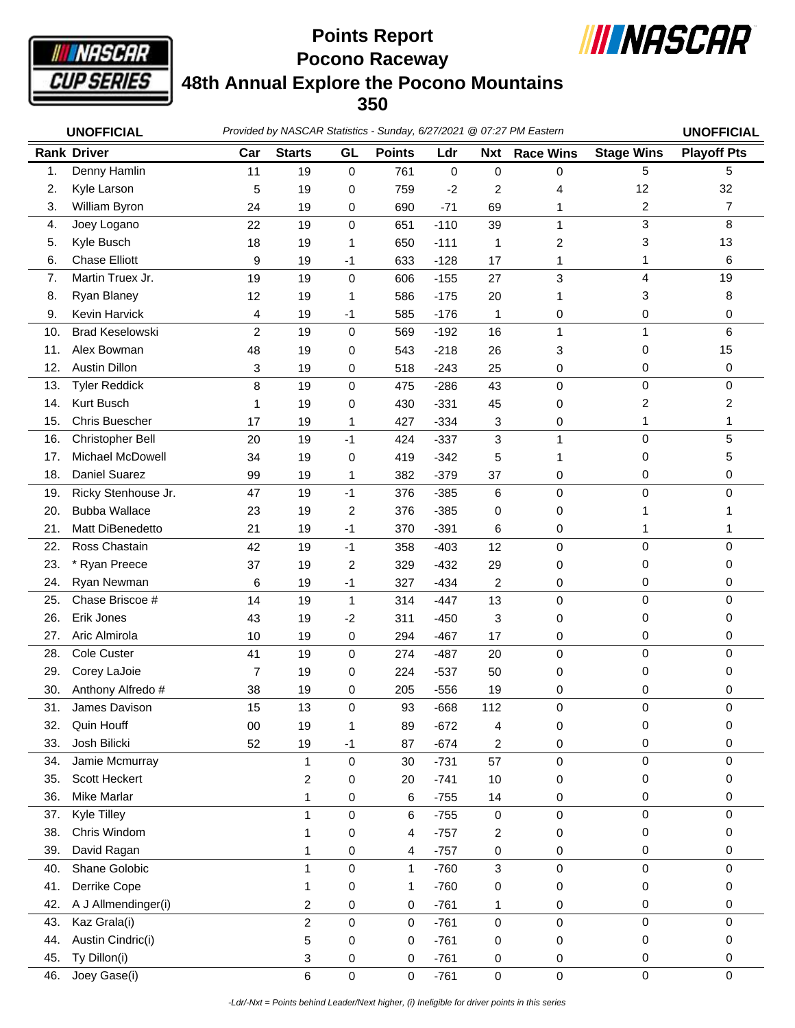

**Pocono Raceway 48th Annual Explore the Pocono Mountains 350 Points Report**



|     | <b>UNOFFICIAL</b>      |                | Provided by NASCAR Statistics - Sunday, 6/27/2021 @ 07:27 PM Eastern |                |               |             |                |                  |                   | <b>UNOFFICIAL</b>  |
|-----|------------------------|----------------|----------------------------------------------------------------------|----------------|---------------|-------------|----------------|------------------|-------------------|--------------------|
|     | <b>Rank Driver</b>     | Car            | <b>Starts</b>                                                        | GL             | <b>Points</b> | Ldr         | <b>Nxt</b>     | <b>Race Wins</b> | <b>Stage Wins</b> | <b>Playoff Pts</b> |
| 1.  | Denny Hamlin           | 11             | 19                                                                   | $\mathbf 0$    | 761           | $\mathbf 0$ | $\mathbf 0$    | 0                | 5                 | 5                  |
| 2.  | Kyle Larson            | 5              | 19                                                                   | 0              | 759           | $-2$        | $\overline{c}$ | 4                | 12                | 32                 |
| 3.  | William Byron          | 24             | 19                                                                   | 0              | 690           | $-71$       | 69             | 1                | 2                 | $\overline{7}$     |
| 4.  | Joey Logano            | 22             | 19                                                                   | $\mathbf 0$    | 651           | $-110$      | 39             | 1                | 3                 | 8                  |
| 5.  | Kyle Busch             | 18             | 19                                                                   | 1              | 650           | $-111$      | 1              | 2                | 3                 | 13                 |
| 6.  | <b>Chase Elliott</b>   | 9              | 19                                                                   | $-1$           | 633           | $-128$      | 17             | 1                | 1                 | 6                  |
| 7.  | Martin Truex Jr.       | 19             | 19                                                                   | $\mathbf 0$    | 606           | $-155$      | 27             | 3                | 4                 | 19                 |
| 8.  | Ryan Blaney            | 12             | 19                                                                   | 1              | 586           | $-175$      | 20             | 1                | 3                 | 8                  |
| 9.  | Kevin Harvick          | 4              | 19                                                                   | $-1$           | 585           | $-176$      | 1              | 0                | 0                 | 0                  |
| 10. | <b>Brad Keselowski</b> | $\overline{c}$ | 19                                                                   | 0              | 569           | $-192$      | 16             | 1                | 1                 | 6                  |
| 11. | Alex Bowman            | 48             | 19                                                                   | 0              | 543           | $-218$      | 26             | 3                | $\Omega$          | 15                 |
| 12. | <b>Austin Dillon</b>   | 3              | 19                                                                   | 0              | 518           | $-243$      | 25             | 0                | 0                 | 0                  |
| 13. | <b>Tyler Reddick</b>   | 8              | 19                                                                   | 0              | 475           | $-286$      | 43             | 0                | 0                 | 0                  |
| 14. | Kurt Busch             | 1              | 19                                                                   | 0              | 430           | $-331$      | 45             | 0                | 2                 | 2                  |
| 15. | <b>Chris Buescher</b>  | 17             | 19                                                                   | 1              | 427           | $-334$      | 3              | 0                | 1                 | 1                  |
| 16. | Christopher Bell       | 20             | 19                                                                   | $-1$           | 424           | $-337$      | 3              | 1                | $\mathbf 0$       | 5                  |
| 17. | Michael McDowell       | 34             | 19                                                                   | 0              | 419           | $-342$      | 5              | 1                | 0                 | 5                  |
| 18. | <b>Daniel Suarez</b>   | 99             | 19                                                                   | 1              | 382           | $-379$      | 37             | 0                | 0                 | 0                  |
| 19. | Ricky Stenhouse Jr.    | 47             | 19                                                                   | $-1$           | 376           | $-385$      | 6              | 0                | $\mathbf 0$       | 0                  |
| 20. | <b>Bubba Wallace</b>   | 23             | 19                                                                   | 2              | 376           | $-385$      | 0              | 0                |                   |                    |
| 21. | Matt DiBenedetto       | 21             | 19                                                                   | $-1$           | 370           | $-391$      | 6              | 0                | 1                 | 1                  |
| 22. | Ross Chastain          | 42             | 19                                                                   | $-1$           | 358           | $-403$      | 12             | 0                | 0                 | 0                  |
| 23. | * Ryan Preece          | 37             | 19                                                                   | $\overline{c}$ | 329           | $-432$      | 29             | 0                | 0                 | 0                  |
| 24. | Ryan Newman            | 6              | 19                                                                   | $-1$           | 327           | $-434$      | $\overline{c}$ | 0                | 0                 | 0                  |
| 25. | Chase Briscoe #        | 14             | 19                                                                   | $\mathbf{1}$   | 314           | $-447$      | 13             | 0                | $\Omega$          | 0                  |
| 26. | Erik Jones             | 43             | 19                                                                   | $-2$           | 311           | $-450$      | 3              | 0                | 0                 | 0                  |
| 27. | Aric Almirola          | 10             | 19                                                                   | 0              | 294           | $-467$      | 17             | 0                | 0                 | 0                  |
| 28. | Cole Custer            | 41             | 19                                                                   | $\mathbf 0$    | 274           | $-487$      | 20             | 0                | 0                 | 0                  |
| 29. | Corey LaJoie           | $\overline{7}$ | 19                                                                   | 0              | 224           | $-537$      | 50             | 0                | 0                 | 0                  |
| 30. | Anthony Alfredo #      | 38             | 19                                                                   | 0              | 205           | $-556$      | 19             | 0                | 0                 | 0                  |
| 31  | James Davison          | 15             | 13                                                                   | $\Omega$       | 93            | $-668$      | 112            | $\Omega$         | $\Omega$          | $\Omega$           |
| 32. | Quin Houff             | $00\,$         | 19                                                                   | 1              | 89            | $-672$      | 4              | 0                | 0                 | 0                  |
| 33. | Josh Bilicki           | 52             | 19                                                                   | $-1$           | 87            | $-674$      | 2              | 0                | 0                 | 0                  |
| 34. | Jamie Mcmurray         |                | 1                                                                    | $\mathbf 0$    | 30            | $-731$      | 57             | 0                | 0                 | 0                  |
| 35. | Scott Heckert          |                | 2                                                                    | 0              | 20            | $-741$      | 10             | 0                | 0                 | 0                  |
| 36. | <b>Mike Marlar</b>     |                | 1                                                                    | 0              | 6             | $-755$      | 14             | 0                | 0                 | 0                  |
| 37. | Kyle Tilley            |                |                                                                      | 0              | 6             | $-755$      | $\mathbf 0$    | 0                | $\Omega$          | 0                  |
| 38. | Chris Windom           |                |                                                                      | 0              | 4             | $-757$      | 2              | 0                | 0                 | 0                  |
| 39. | David Ragan            |                |                                                                      | 0              | 4             | $-757$      | 0              | 0                | 0                 | 0                  |
| 40. | Shane Golobic          |                | 1                                                                    | $\mathbf 0$    | $\mathbf{1}$  | $-760$      | 3              | 0                | 0                 | 0                  |
| 41. | Derrike Cope           |                | 1                                                                    | 0              | 1             | $-760$      | 0              | 0                | 0                 | 0                  |
| 42. | A J Allmendinger(i)    |                | 2                                                                    | 0              | 0             | $-761$      | 1              | 0                | 0                 | 0                  |
| 43. | Kaz Grala(i)           |                | 2                                                                    | $\mathbf 0$    | 0             | $-761$      | 0              | 0                | 0                 | 0                  |
| 44. | Austin Cindric(i)      |                | 5                                                                    | 0              | 0             | $-761$      | 0              | 0                | 0                 | 0                  |
| 45. | Ty Dillon(i)           |                | 3                                                                    | 0              | 0             | $-761$      | 0              | 0                | 0                 | 0                  |
| 46. | Joey Gase(i)           |                | 6                                                                    | $\pmb{0}$      | $\pmb{0}$     | $-761$      | $\pmb{0}$      | 0                | $\pmb{0}$         | 0                  |